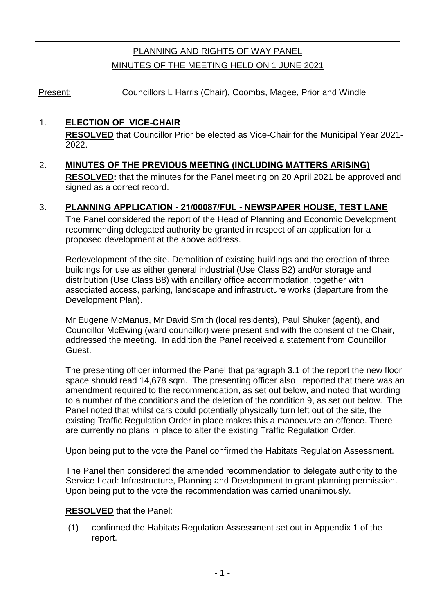# PLANNING AND RIGHTS OF WAY PANEL MINUTES OF THE MEETING HELD ON 1 JUNE 2021

Present: Councillors L Harris (Chair), Coombs, Magee, Prior and Windle

# 1. **ELECTION OF VICE-CHAIR**

**RESOLVED** that Councillor Prior be elected as Vice-Chair for the Municipal Year 2021- 2022.

# 2. **MINUTES OF THE PREVIOUS MEETING (INCLUDING MATTERS ARISING)**

**RESOLVED:** that the minutes for the Panel meeting on 20 April 2021 be approved and signed as a correct record.

# 3. **PLANNING APPLICATION - 21/00087/FUL - NEWSPAPER HOUSE, TEST LANE**

The Panel considered the report of the Head of Planning and Economic Development recommending delegated authority be granted in respect of an application for a proposed development at the above address.

Redevelopment of the site. Demolition of existing buildings and the erection of three buildings for use as either general industrial (Use Class B2) and/or storage and distribution (Use Class B8) with ancillary office accommodation, together with associated access, parking, landscape and infrastructure works (departure from the Development Plan).

Mr Eugene McManus, Mr David Smith (local residents), Paul Shuker (agent), and Councillor McEwing (ward councillor) were present and with the consent of the Chair, addressed the meeting. In addition the Panel received a statement from Councillor Guest.

The presenting officer informed the Panel that paragraph 3.1 of the report the new floor space should read 14,678 sqm. The presenting officer also reported that there was an amendment required to the recommendation, as set out below, and noted that wording to a number of the conditions and the deletion of the condition 9, as set out below. The Panel noted that whilst cars could potentially physically turn left out of the site, the existing Traffic Regulation Order in place makes this a manoeuvre an offence. There are currently no plans in place to alter the existing Traffic Regulation Order.

Upon being put to the vote the Panel confirmed the Habitats Regulation Assessment.

The Panel then considered the amended recommendation to delegate authority to the Service Lead: Infrastructure, Planning and Development to grant planning permission. Upon being put to the vote the recommendation was carried unanimously.

# **RESOLVED** that the Panel:

(1) confirmed the Habitats Regulation Assessment set out in Appendix 1 of the report.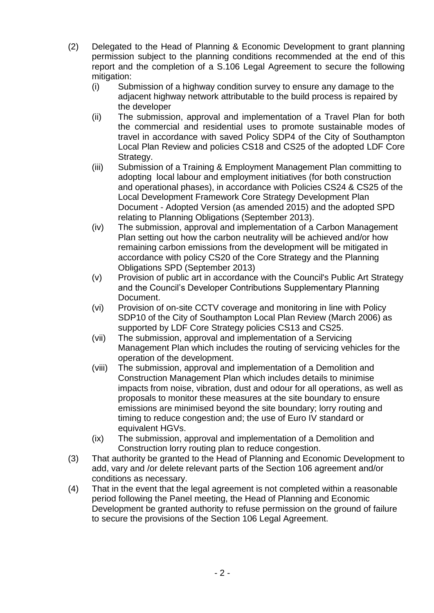- (2) Delegated to the Head of Planning & Economic Development to grant planning permission subject to the planning conditions recommended at the end of this report and the completion of a S.106 Legal Agreement to secure the following mitigation:
	- (i) Submission of a highway condition survey to ensure any damage to the adjacent highway network attributable to the build process is repaired by the developer
	- (ii) The submission, approval and implementation of a Travel Plan for both the commercial and residential uses to promote sustainable modes of travel in accordance with saved Policy SDP4 of the City of Southampton Local Plan Review and policies CS18 and CS25 of the adopted LDF Core Strategy.
	- (iii) Submission of a Training & Employment Management Plan committing to adopting local labour and employment initiatives (for both construction and operational phases), in accordance with Policies CS24 & CS25 of the Local Development Framework Core Strategy Development Plan Document - Adopted Version (as amended 2015) and the adopted SPD relating to Planning Obligations (September 2013).
	- (iv) The submission, approval and implementation of a Carbon Management Plan setting out how the carbon neutrality will be achieved and/or how remaining carbon emissions from the development will be mitigated in accordance with policy CS20 of the Core Strategy and the Planning Obligations SPD (September 2013)
	- (v) Provision of public art in accordance with the Council's Public Art Strategy and the Council's Developer Contributions Supplementary Planning Document.
	- (vi) Provision of on-site CCTV coverage and monitoring in line with Policy SDP10 of the City of Southampton Local Plan Review (March 2006) as supported by LDF Core Strategy policies CS13 and CS25.
	- (vii) The submission, approval and implementation of a Servicing Management Plan which includes the routing of servicing vehicles for the operation of the development.
	- (viii) The submission, approval and implementation of a Demolition and Construction Management Plan which includes details to minimise impacts from noise, vibration, dust and odour for all operations, as well as proposals to monitor these measures at the site boundary to ensure emissions are minimised beyond the site boundary; lorry routing and timing to reduce congestion and; the use of Euro IV standard or equivalent HGVs.
	- (ix) The submission, approval and implementation of a Demolition and Construction lorry routing plan to reduce congestion.
- (3) That authority be granted to the Head of Planning and Economic Development to add, vary and /or delete relevant parts of the Section 106 agreement and/or conditions as necessary.
- (4) That in the event that the legal agreement is not completed within a reasonable period following the Panel meeting, the Head of Planning and Economic Development be granted authority to refuse permission on the ground of failure to secure the provisions of the Section 106 Legal Agreement.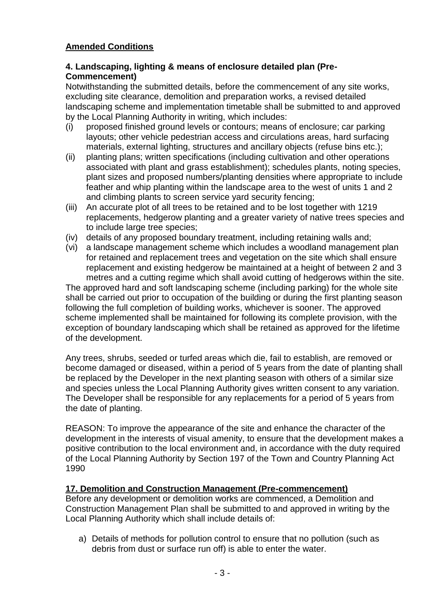# **Amended Conditions**

# **4. Landscaping, lighting & means of enclosure detailed plan (Pre-Commencement)**

Notwithstanding the submitted details, before the commencement of any site works, excluding site clearance, demolition and preparation works, a revised detailed landscaping scheme and implementation timetable shall be submitted to and approved by the Local Planning Authority in writing, which includes:

- (i) proposed finished ground levels or contours; means of enclosure; car parking layouts; other vehicle pedestrian access and circulations areas, hard surfacing materials, external lighting, structures and ancillary objects (refuse bins etc.);
- (ii) planting plans; written specifications (including cultivation and other operations associated with plant and grass establishment); schedules plants, noting species, plant sizes and proposed numbers/planting densities where appropriate to include feather and whip planting within the landscape area to the west of units 1 and 2 and climbing plants to screen service yard security fencing;
- (iii) An accurate plot of all trees to be retained and to be lost together with 1219 replacements, hedgerow planting and a greater variety of native trees species and to include large tree species;
- (iv) details of any proposed boundary treatment, including retaining walls and;
- (vi) a landscape management scheme which includes a woodland management plan for retained and replacement trees and vegetation on the site which shall ensure replacement and existing hedgerow be maintained at a height of between 2 and 3 metres and a cutting regime which shall avoid cutting of hedgerows within the site.

The approved hard and soft landscaping scheme (including parking) for the whole site shall be carried out prior to occupation of the building or during the first planting season following the full completion of building works, whichever is sooner. The approved scheme implemented shall be maintained for following its complete provision, with the exception of boundary landscaping which shall be retained as approved for the lifetime of the development.

Any trees, shrubs, seeded or turfed areas which die, fail to establish, are removed or become damaged or diseased, within a period of 5 years from the date of planting shall be replaced by the Developer in the next planting season with others of a similar size and species unless the Local Planning Authority gives written consent to any variation. The Developer shall be responsible for any replacements for a period of 5 years from the date of planting.

REASON: To improve the appearance of the site and enhance the character of the development in the interests of visual amenity, to ensure that the development makes a positive contribution to the local environment and, in accordance with the duty required of the Local Planning Authority by Section 197 of the Town and Country Planning Act 1990

# **17. Demolition and Construction Management (Pre-commencement)**

Before any development or demolition works are commenced, a Demolition and Construction Management Plan shall be submitted to and approved in writing by the Local Planning Authority which shall include details of:

a) Details of methods for pollution control to ensure that no pollution (such as debris from dust or surface run off) is able to enter the water.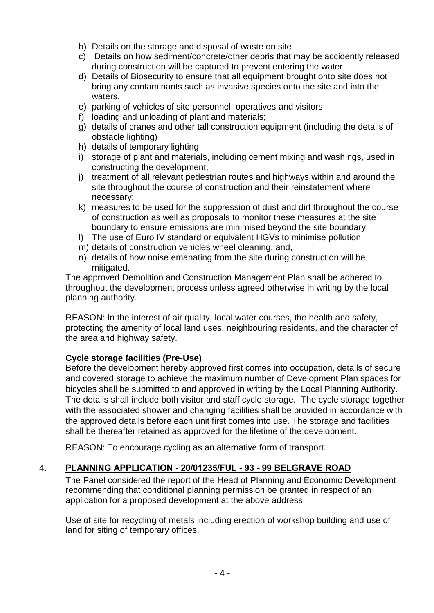- b) Details on the storage and disposal of waste on site
- c) Details on how sediment/concrete/other debris that may be accidently released during construction will be captured to prevent entering the water
- d) Details of Biosecurity to ensure that all equipment brought onto site does not bring any contaminants such as invasive species onto the site and into the waters.
- e) parking of vehicles of site personnel, operatives and visitors;
- f) loading and unloading of plant and materials;
- g) details of cranes and other tall construction equipment (including the details of obstacle lighting)
- h) details of temporary lighting
- i) storage of plant and materials, including cement mixing and washings, used in constructing the development;
- j) treatment of all relevant pedestrian routes and highways within and around the site throughout the course of construction and their reinstatement where necessary;
- k) measures to be used for the suppression of dust and dirt throughout the course of construction as well as proposals to monitor these measures at the site boundary to ensure emissions are minimised beyond the site boundary
- l) The use of Euro IV standard or equivalent HGVs to minimise pollution
- m) details of construction vehicles wheel cleaning; and,
- n) details of how noise emanating from the site during construction will be mitigated.

The approved Demolition and Construction Management Plan shall be adhered to throughout the development process unless agreed otherwise in writing by the local planning authority.

REASON: In the interest of air quality, local water courses, the health and safety, protecting the amenity of local land uses, neighbouring residents, and the character of the area and highway safety.

# **Cycle storage facilities (Pre-Use)**

Before the development hereby approved first comes into occupation, details of secure and covered storage to achieve the maximum number of Development Plan spaces for bicycles shall be submitted to and approved in writing by the Local Planning Authority. The details shall include both visitor and staff cycle storage. The cycle storage together with the associated shower and changing facilities shall be provided in accordance with the approved details before each unit first comes into use. The storage and facilities shall be thereafter retained as approved for the lifetime of the development.

REASON: To encourage cycling as an alternative form of transport.

# 4. **PLANNING APPLICATION - 20/01235/FUL - 93 - 99 BELGRAVE ROAD**

The Panel considered the report of the Head of Planning and Economic Development recommending that conditional planning permission be granted in respect of an application for a proposed development at the above address.

Use of site for recycling of metals including erection of workshop building and use of land for siting of temporary offices.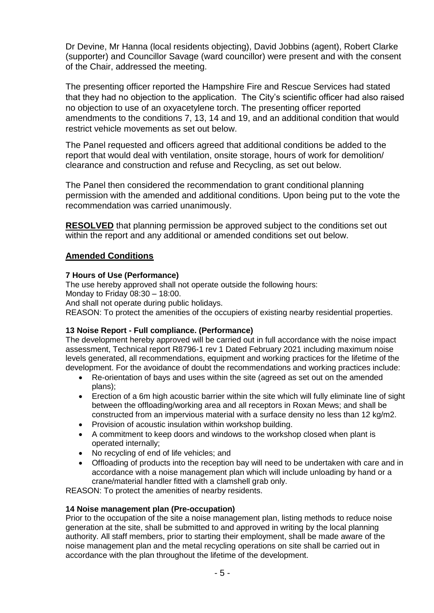Dr Devine, Mr Hanna (local residents objecting), David Jobbins (agent), Robert Clarke (supporter) and Councillor Savage (ward councillor) were present and with the consent of the Chair, addressed the meeting.

The presenting officer reported the Hampshire Fire and Rescue Services had stated that they had no objection to the application. The City's scientific officer had also raised no objection to use of an oxyacetylene torch. The presenting officer reported amendments to the conditions 7, 13, 14 and 19, and an additional condition that would restrict vehicle movements as set out below.

The Panel requested and officers agreed that additional conditions be added to the report that would deal with ventilation, onsite storage, hours of work for demolition/ clearance and construction and refuse and Recycling, as set out below.

The Panel then considered the recommendation to grant conditional planning permission with the amended and additional conditions. Upon being put to the vote the recommendation was carried unanimously.

**RESOLVED** that planning permission be approved subject to the conditions set out within the report and any additional or amended conditions set out below.

### **Amended Conditions**

#### **7 Hours of Use (Performance)**

The use hereby approved shall not operate outside the following hours: Monday to Friday 08:30 – 18:00. And shall not operate during public holidays.

REASON: To protect the amenities of the occupiers of existing nearby residential properties.

### **13 Noise Report - Full compliance. (Performance)**

The development hereby approved will be carried out in full accordance with the noise impact assessment, Technical report R8796-1 rev 1 Dated February 2021 including maximum noise levels generated, all recommendations, equipment and working practices for the lifetime of the development. For the avoidance of doubt the recommendations and working practices include:

- Re-orientation of bays and uses within the site (agreed as set out on the amended plans);
- Erection of a 6m high acoustic barrier within the site which will fully eliminate line of sight between the offloading/working area and all receptors in Roxan Mews; and shall be constructed from an impervious material with a surface density no less than 12 kg/m2.
- Provision of acoustic insulation within workshop building.
- A commitment to keep doors and windows to the workshop closed when plant is operated internally;
- No recycling of end of life vehicles; and
- Offloading of products into the reception bay will need to be undertaken with care and in accordance with a noise management plan which will include unloading by hand or a crane/material handler fitted with a clamshell grab only.

REASON: To protect the amenities of nearby residents.

#### **14 Noise management plan (Pre-occupation)**

Prior to the occupation of the site a noise management plan, listing methods to reduce noise generation at the site, shall be submitted to and approved in writing by the local planning authority. All staff members, prior to starting their employment, shall be made aware of the noise management plan and the metal recycling operations on site shall be carried out in accordance with the plan throughout the lifetime of the development.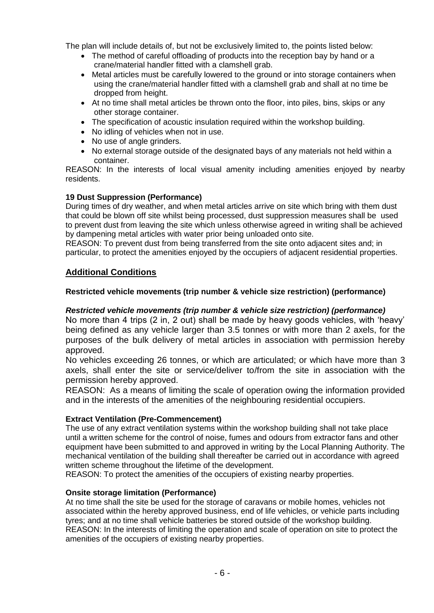The plan will include details of, but not be exclusively limited to, the points listed below:

- The method of careful offloading of products into the reception bay by hand or a crane/material handler fitted with a clamshell grab.
- Metal articles must be carefully lowered to the ground or into storage containers when using the crane/material handler fitted with a clamshell grab and shall at no time be dropped from height.
- At no time shall metal articles be thrown onto the floor, into piles, bins, skips or any other storage container.
- The specification of acoustic insulation required within the workshop building.
- No idling of vehicles when not in use.
- No use of angle grinders.
- No external storage outside of the designated bays of any materials not held within a container.

REASON: In the interests of local visual amenity including amenities enjoyed by nearby residents.

#### **19 Dust Suppression (Performance)**

During times of dry weather, and when metal articles arrive on site which bring with them dust that could be blown off site whilst being processed, dust suppression measures shall be used to prevent dust from leaving the site which unless otherwise agreed in writing shall be achieved by dampening metal articles with water prior being unloaded onto site.

REASON: To prevent dust from being transferred from the site onto adjacent sites and; in particular, to protect the amenities enjoyed by the occupiers of adjacent residential properties.

### **Additional Conditions**

#### **Restricted vehicle movements (trip number & vehicle size restriction) (performance)**

#### *Restricted vehicle movements (trip number & vehicle size restriction) (performance)*

No more than 4 trips (2 in, 2 out) shall be made by heavy goods vehicles, with 'heavy' being defined as any vehicle larger than 3.5 tonnes or with more than 2 axels, for the purposes of the bulk delivery of metal articles in association with permission hereby approved.

No vehicles exceeding 26 tonnes, or which are articulated; or which have more than 3 axels, shall enter the site or service/deliver to/from the site in association with the permission hereby approved.

REASON: As a means of limiting the scale of operation owing the information provided and in the interests of the amenities of the neighbouring residential occupiers.

#### **Extract Ventilation (Pre-Commencement)**

The use of any extract ventilation systems within the workshop building shall not take place until a written scheme for the control of noise, fumes and odours from extractor fans and other equipment have been submitted to and approved in writing by the Local Planning Authority. The mechanical ventilation of the building shall thereafter be carried out in accordance with agreed written scheme throughout the lifetime of the development.

REASON: To protect the amenities of the occupiers of existing nearby properties.

#### **Onsite storage limitation (Performance)**

At no time shall the site be used for the storage of caravans or mobile homes, vehicles not associated within the hereby approved business, end of life vehicles, or vehicle parts including tyres; and at no time shall vehicle batteries be stored outside of the workshop building. REASON: In the interests of limiting the operation and scale of operation on site to protect the amenities of the occupiers of existing nearby properties.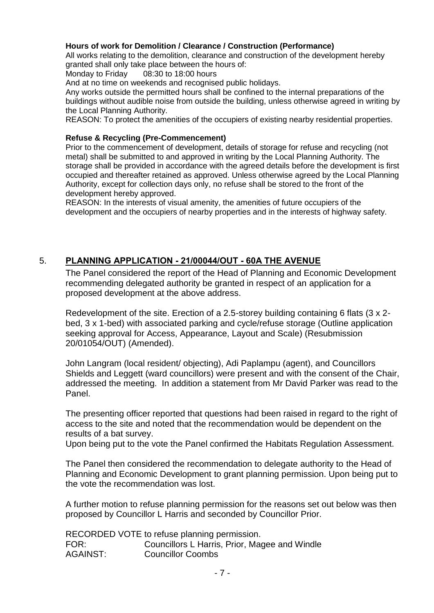### **Hours of work for Demolition / Clearance / Construction (Performance)**

All works relating to the demolition, clearance and construction of the development hereby granted shall only take place between the hours of:

Monday to Friday 08:30 to 18:00 hours

And at no time on weekends and recognised public holidays.

Any works outside the permitted hours shall be confined to the internal preparations of the buildings without audible noise from outside the building, unless otherwise agreed in writing by the Local Planning Authority.

REASON: To protect the amenities of the occupiers of existing nearby residential properties.

#### **Refuse & Recycling (Pre-Commencement)**

Prior to the commencement of development, details of storage for refuse and recycling (not metal) shall be submitted to and approved in writing by the Local Planning Authority. The storage shall be provided in accordance with the agreed details before the development is first occupied and thereafter retained as approved. Unless otherwise agreed by the Local Planning Authority, except for collection days only, no refuse shall be stored to the front of the development hereby approved.

REASON: In the interests of visual amenity, the amenities of future occupiers of the development and the occupiers of nearby properties and in the interests of highway safety.

### 5. **PLANNING APPLICATION - 21/00044/OUT - 60A THE AVENUE**

The Panel considered the report of the Head of Planning and Economic Development recommending delegated authority be granted in respect of an application for a proposed development at the above address.

Redevelopment of the site. Erection of a 2.5-storey building containing 6 flats (3 x 2 bed, 3 x 1-bed) with associated parking and cycle/refuse storage (Outline application seeking approval for Access, Appearance, Layout and Scale) (Resubmission 20/01054/OUT) (Amended).

John Langram (local resident/ objecting), Adi Paplampu (agent), and Councillors Shields and Leggett (ward councillors) were present and with the consent of the Chair, addressed the meeting. In addition a statement from Mr David Parker was read to the Panel.

The presenting officer reported that questions had been raised in regard to the right of access to the site and noted that the recommendation would be dependent on the results of a bat survey.

Upon being put to the vote the Panel confirmed the Habitats Regulation Assessment.

The Panel then considered the recommendation to delegate authority to the Head of Planning and Economic Development to grant planning permission. Upon being put to the vote the recommendation was lost.

A further motion to refuse planning permission for the reasons set out below was then proposed by Councillor L Harris and seconded by Councillor Prior.

|                 | RECORDED VOTE to refuse planning permission.  |
|-----------------|-----------------------------------------------|
| FOR:            | Councillors L Harris, Prior, Magee and Windle |
| <b>AGAINST:</b> | <b>Councillor Coombs</b>                      |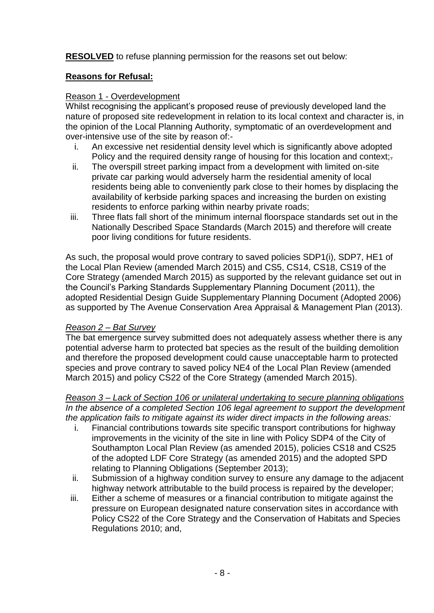**RESOLVED** to refuse planning permission for the reasons set out below:

# **Reasons for Refusal:**

### Reason 1 - Overdevelopment

Whilst recognising the applicant's proposed reuse of previously developed land the nature of proposed site redevelopment in relation to its local context and character is, in the opinion of the Local Planning Authority, symptomatic of an overdevelopment and over-intensive use of the site by reason of:-

- i. An excessive net residential density level which is significantly above adopted Policy and the required density range of housing for this location and context;-
- ii. The overspill street parking impact from a development with limited on-site private car parking would adversely harm the residential amenity of local residents being able to conveniently park close to their homes by displacing the availability of kerbside parking spaces and increasing the burden on existing residents to enforce parking within nearby private roads;
- iii. Three flats fall short of the minimum internal floorspace standards set out in the Nationally Described Space Standards (March 2015) and therefore will create poor living conditions for future residents.

As such, the proposal would prove contrary to saved policies SDP1(i), SDP7, HE1 of the Local Plan Review (amended March 2015) and CS5, CS14, CS18, CS19 of the Core Strategy (amended March 2015) as supported by the relevant guidance set out in the Council's Parking Standards Supplementary Planning Document (2011), the adopted Residential Design Guide Supplementary Planning Document (Adopted 2006) as supported by The Avenue Conservation Area Appraisal & Management Plan (2013).

### *Reason 2 – Bat Survey*

The bat emergence survey submitted does not adequately assess whether there is any potential adverse harm to protected bat species as the result of the building demolition and therefore the proposed development could cause unacceptable harm to protected species and prove contrary to saved policy NE4 of the Local Plan Review (amended March 2015) and policy CS22 of the Core Strategy (amended March 2015).

*Reason 3 – Lack of Section 106 or unilateral undertaking to secure planning obligations In the absence of a completed Section 106 legal agreement to support the development the application fails to mitigate against its wider direct impacts in the following areas:*

- i. Financial contributions towards site specific transport contributions for highway improvements in the vicinity of the site in line with Policy SDP4 of the City of Southampton Local Plan Review (as amended 2015), policies CS18 and CS25 of the adopted LDF Core Strategy (as amended 2015) and the adopted SPD relating to Planning Obligations (September 2013);
- ii. Submission of a highway condition survey to ensure any damage to the adjacent highway network attributable to the build process is repaired by the developer;
- iii. Either a scheme of measures or a financial contribution to mitigate against the pressure on European designated nature conservation sites in accordance with Policy CS22 of the Core Strategy and the Conservation of Habitats and Species Regulations 2010; and,